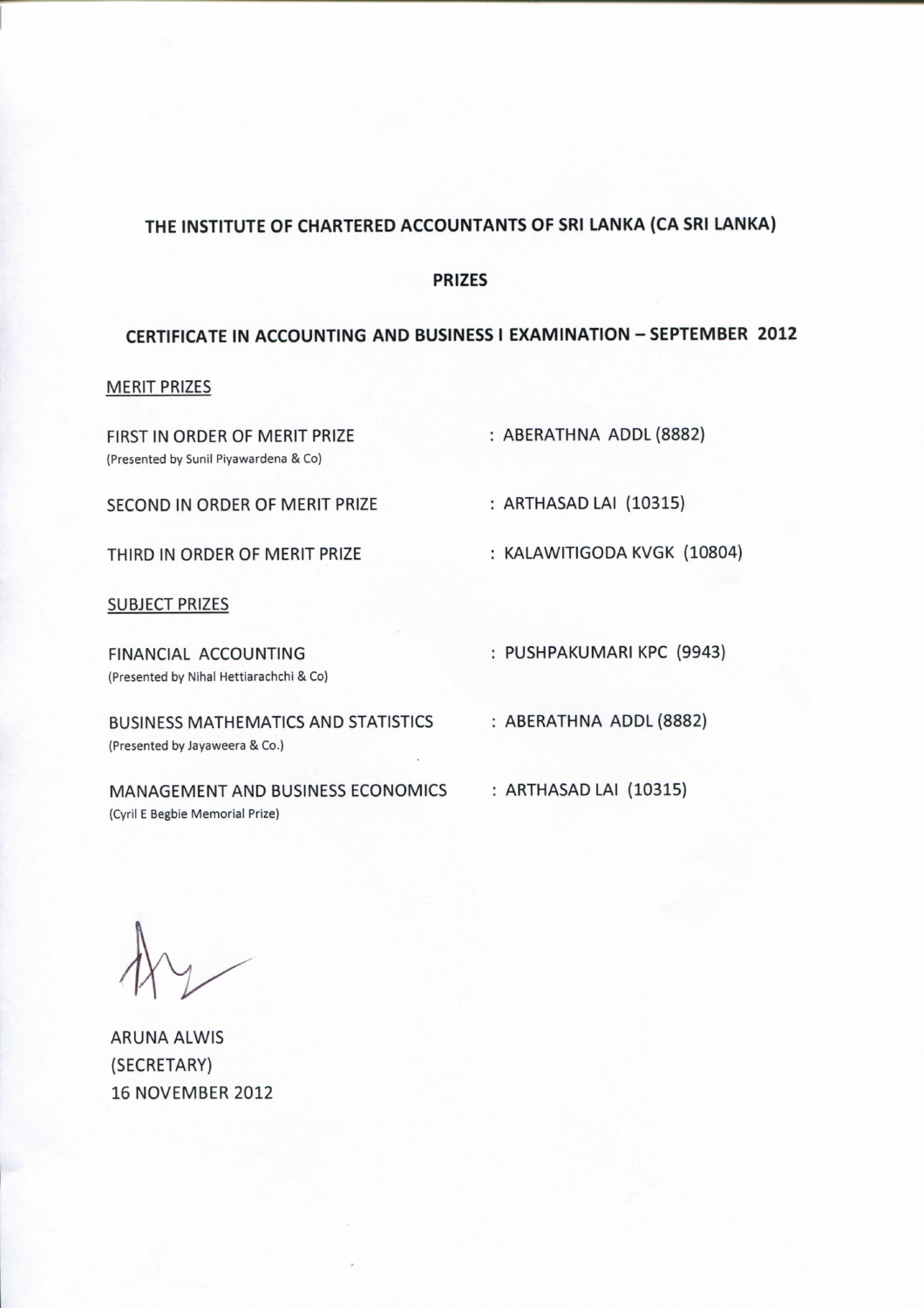## **THE INSTITUTE OF CHARTERED ACCOUNTANTS OF SRI LANKA (CA SRI LANKA)**

#### **PRIZES**

# **CERTIFICATE IN ACCOUNTING AND BUSINESS I EXAMINATION - SEPTEMBER 2012**

## MERIT PRIZES

| : ABERATHNA ADDL (8882)     |
|-----------------------------|
| : ARTHASAD LAI (10315)      |
| : KALAWITIGODA KVGK (10804) |
|                             |
| : PUSHPAKUMARI KPC (9943)   |
| : ABERATHNA ADDL (8882)     |
| : ARTHASAD LAI (10315)      |
|                             |

ARUNA ALWIS (SECRETARY) 16 NOVEMBER 2012